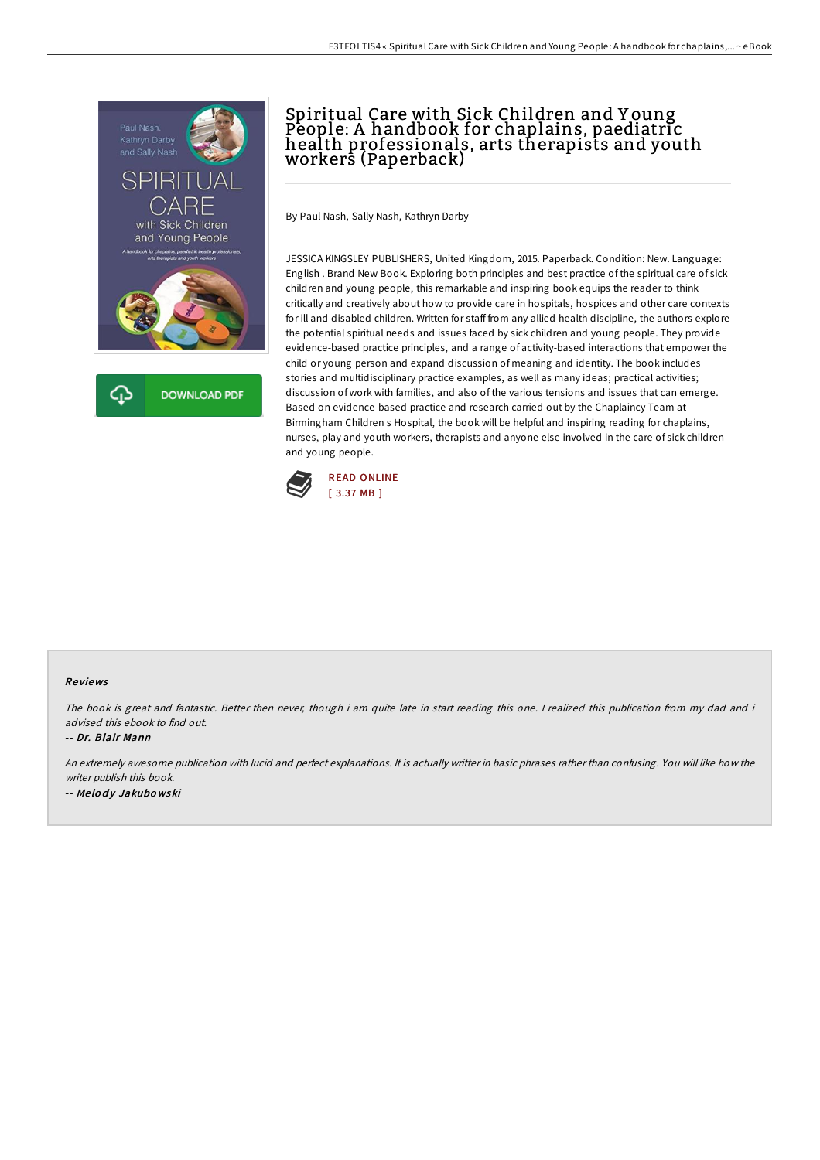

## Spiritual Care with Sick Children and Y oung People: A handbook for chaplains, paediatric health professionals, arts therapists and youth workers (Paperback)

By Paul Nash, Sally Nash, Kathryn Darby

JESSICA KINGSLEY PUBLISHERS, United Kingdom, 2015. Paperback. Condition: New. Language: English . Brand New Book. Exploring both principles and best practice of the spiritual care of sick children and young people, this remarkable and inspiring book equips the reader to think critically and creatively about how to provide care in hospitals, hospices and other care contexts for ill and disabled children. Written for staff from any allied health discipline, the authors explore the potential spiritual needs and issues faced by sick children and young people. They provide evidence-based practice principles, and a range of activity-based interactions that empower the child or young person and expand discussion of meaning and identity. The book includes stories and multidisciplinary practice examples, as well as many ideas; practical activities; discussion of work with families, and also of the various tensions and issues that can emerge. Based on evidence-based practice and research carried out by the Chaplaincy Team at Birmingham Children s Hospital, the book will be helpful and inspiring reading for chaplains, nurses, play and youth workers, therapists and anyone else involved in the care of sick children and young people.



## Re views

The book is great and fantastic. Better then never, though i am quite late in start reading this one. <sup>I</sup> realized this publication from my dad and i advised this ebook to find out.

-- Dr. Blair Mann

An extremely awesome publication with lucid and perfect explanations. It is actually writter in basic phrases rather than confusing. You will like how the writer publish this book. -- Melody Jakubowski